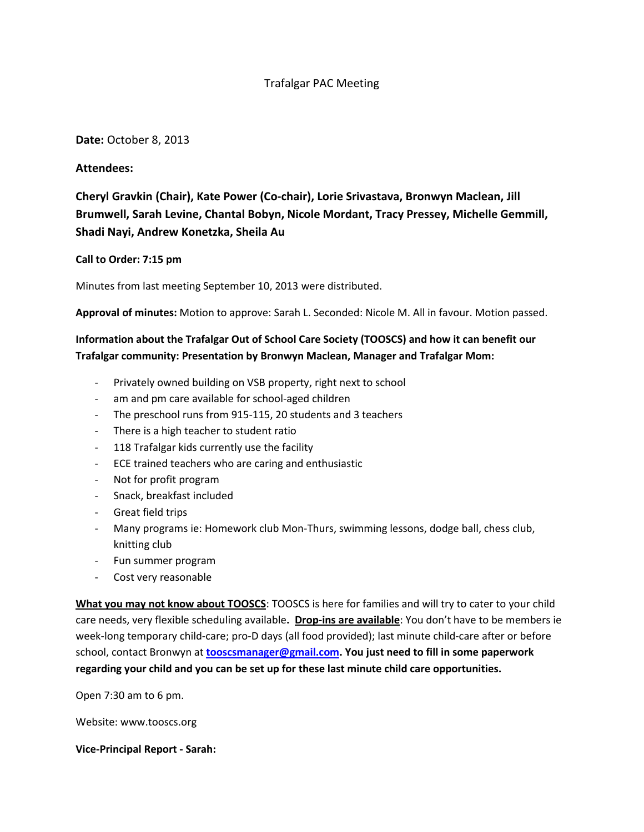# Trafalgar PAC Meeting

#### **Date:** October 8, 2013

## **Attendees:**

# **Cheryl Gravkin (Chair), Kate Power (Co-chair), Lorie Srivastava, Bronwyn Maclean, Jill Brumwell, Sarah Levine, Chantal Bobyn, Nicole Mordant, Tracy Pressey, Michelle Gemmill, Shadi Nayi, Andrew Konetzka, Sheila Au**

#### **Call to Order: 7:15 pm**

Minutes from last meeting September 10, 2013 were distributed.

**Approval of minutes:** Motion to approve: Sarah L. Seconded: Nicole M. All in favour. Motion passed.

# **Information about the Trafalgar Out of School Care Society (TOOSCS) and how it can benefit our Trafalgar community: Presentation by Bronwyn Maclean, Manager and Trafalgar Mom:**

- Privately owned building on VSB property, right next to school
- am and pm care available for school-aged children
- The preschool runs from 915-115, 20 students and 3 teachers
- There is a high teacher to student ratio
- 118 Trafalgar kids currently use the facility
- ECE trained teachers who are caring and enthusiastic
- Not for profit program
- Snack, breakfast included
- Great field trips
- Many programs ie: Homework club Mon-Thurs, swimming lessons, dodge ball, chess club, knitting club
- Fun summer program
- Cost very reasonable

**What you may not know about TOOSCS**: TOOSCS is here for families and will try to cater to your child care needs, very flexible scheduling available**. Drop-ins are available**: You don't have to be members ie week-long temporary child-care; pro-D days (all food provided); last minute child-care after or before school, contact Bronwyn at **[tooscsmanager@gmail.com.](mailto:tooscsmanager@gmail.com) You just need to fill in some paperwork regarding your child and you can be set up for these last minute child care opportunities.**

Open 7:30 am to 6 pm.

Website: www.tooscs.org

**Vice-Principal Report - Sarah:**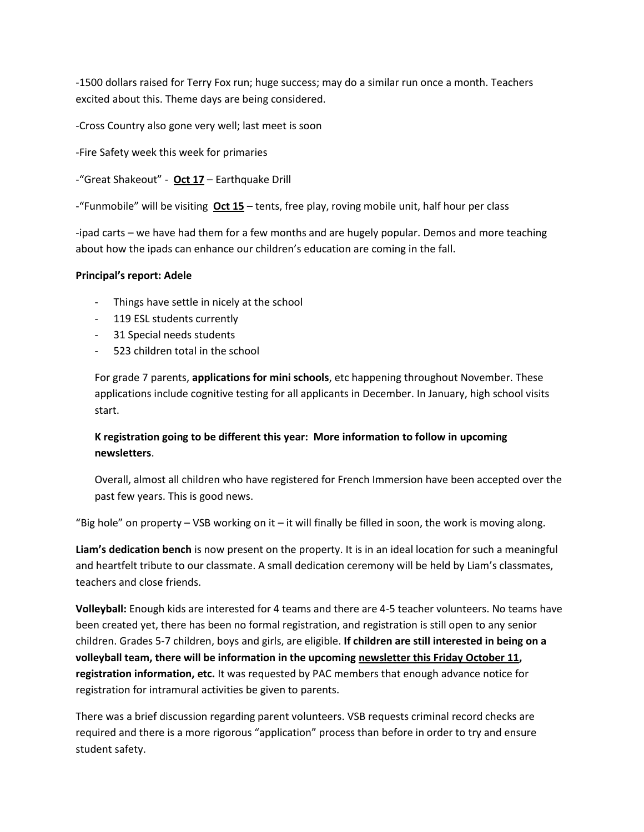-1500 dollars raised for Terry Fox run; huge success; may do a similar run once a month. Teachers excited about this. Theme days are being considered.

-Cross Country also gone very well; last meet is soon

-Fire Safety week this week for primaries

-"Great Shakeout" - **Oct 17** – Earthquake Drill

-"Funmobile" will be visiting **Oct 15** – tents, free play, roving mobile unit, half hour per class

-ipad carts – we have had them for a few months and are hugely popular. Demos and more teaching about how the ipads can enhance our children's education are coming in the fall.

#### **Principal's report: Adele**

- Things have settle in nicely at the school
- 119 ESL students currently
- 31 Special needs students
- 523 children total in the school

For grade 7 parents, **applications for mini schools**, etc happening throughout November. These applications include cognitive testing for all applicants in December. In January, high school visits start.

# **K registration going to be different this year: More information to follow in upcoming newsletters**.

Overall, almost all children who have registered for French Immersion have been accepted over the past few years. This is good news.

"Big hole" on property  $-$  VSB working on it  $-$  it will finally be filled in soon, the work is moving along.

**Liam's dedication bench** is now present on the property. It is in an ideal location for such a meaningful and heartfelt tribute to our classmate. A small dedication ceremony will be held by Liam's classmates, teachers and close friends.

**Volleyball:** Enough kids are interested for 4 teams and there are 4-5 teacher volunteers. No teams have been created yet, there has been no formal registration, and registration is still open to any senior children. Grades 5-7 children, boys and girls, are eligible. **If children are still interested in being on a volleyball team, there will be information in the upcoming newsletter this Friday October 11, registration information, etc.** It was requested by PAC members that enough advance notice for registration for intramural activities be given to parents.

There was a brief discussion regarding parent volunteers. VSB requests criminal record checks are required and there is a more rigorous "application" process than before in order to try and ensure student safety.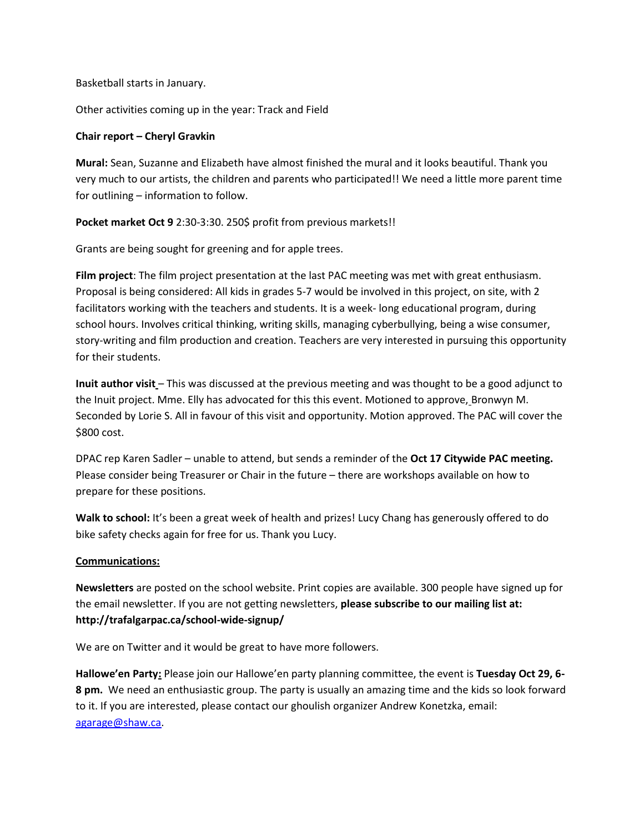Basketball starts in January.

Other activities coming up in the year: Track and Field

#### **Chair report – Cheryl Gravkin**

**Mural:** Sean, Suzanne and Elizabeth have almost finished the mural and it looks beautiful. Thank you very much to our artists, the children and parents who participated!! We need a little more parent time for outlining – information to follow.

**Pocket market Oct 9** 2:30-3:30. 250\$ profit from previous markets!!

Grants are being sought for greening and for apple trees.

**Film project**: The film project presentation at the last PAC meeting was met with great enthusiasm. Proposal is being considered: All kids in grades 5-7 would be involved in this project, on site, with 2 facilitators working with the teachers and students. It is a week- long educational program, during school hours. Involves critical thinking, writing skills, managing cyberbullying, being a wise consumer, story-writing and film production and creation. Teachers are very interested in pursuing this opportunity for their students.

**Inuit author visit** – This was discussed at the previous meeting and was thought to be a good adjunct to the Inuit project. Mme. Elly has advocated for this this event. Motioned to approve, Bronwyn M. Seconded by Lorie S. All in favour of this visit and opportunity. Motion approved. The PAC will cover the \$800 cost.

DPAC rep Karen Sadler – unable to attend, but sends a reminder of the **Oct 17 Citywide PAC meeting.** Please consider being Treasurer or Chair in the future – there are workshops available on how to prepare for these positions.

**Walk to school:** It's been a great week of health and prizes! Lucy Chang has generously offered to do bike safety checks again for free for us. Thank you Lucy.

#### **Communications:**

**Newsletters** are posted on the school website. Print copies are available. 300 people have signed up for the email newsletter. If you are not getting newsletters, **please subscribe to our mailing list at: http://trafalgarpac.ca/school-wide-signup/** 

We are on Twitter and it would be great to have more followers.

**Hallowe'en Party:** Please join our Hallowe'en party planning committee, the event is **Tuesday Oct 29, 6- 8 pm.** We need an enthusiastic group. The party is usually an amazing time and the kids so look forward to it. If you are interested, please contact our ghoulish organizer Andrew Konetzka, email: [agarage@shaw.ca.](mailto:agarage@shaw.ca)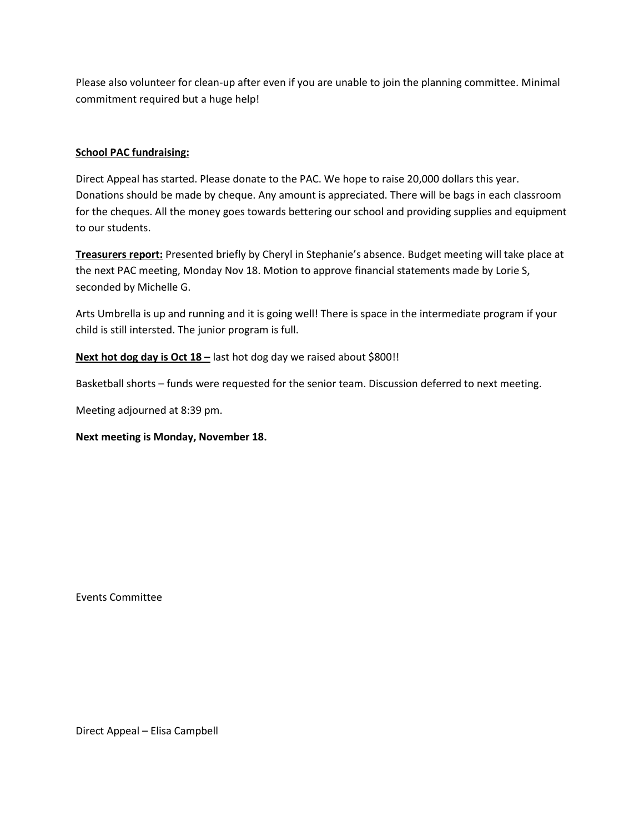Please also volunteer for clean-up after even if you are unable to join the planning committee. Minimal commitment required but a huge help!

## **School PAC fundraising:**

Direct Appeal has started. Please donate to the PAC. We hope to raise 20,000 dollars this year. Donations should be made by cheque. Any amount is appreciated. There will be bags in each classroom for the cheques. All the money goes towards bettering our school and providing supplies and equipment to our students.

**Treasurers report:** Presented briefly by Cheryl in Stephanie's absence. Budget meeting will take place at the next PAC meeting, Monday Nov 18. Motion to approve financial statements made by Lorie S, seconded by Michelle G.

Arts Umbrella is up and running and it is going well! There is space in the intermediate program if your child is still intersted. The junior program is full.

**Next hot dog day is Oct 18 –** last hot dog day we raised about \$800!!

Basketball shorts – funds were requested for the senior team. Discussion deferred to next meeting.

Meeting adjourned at 8:39 pm.

**Next meeting is Monday, November 18.**

Events Committee

Direct Appeal – Elisa Campbell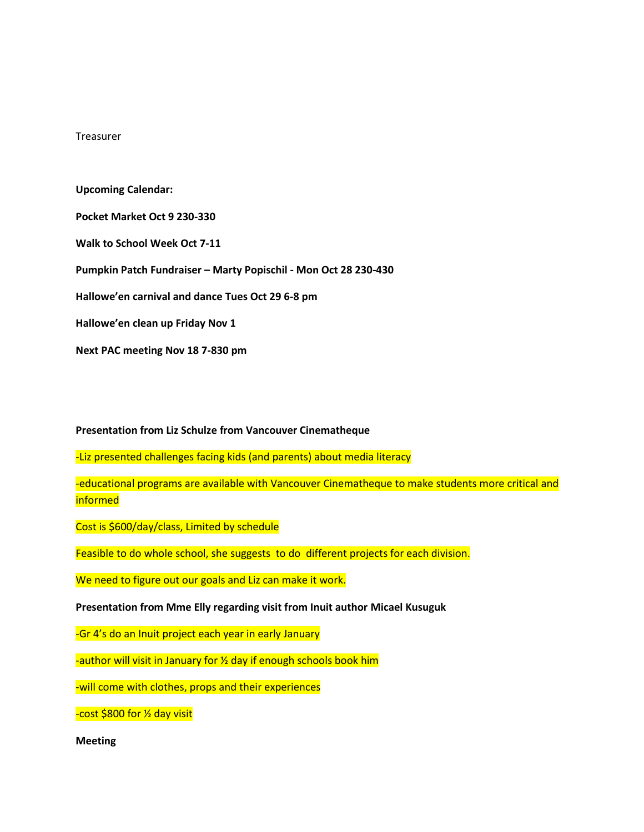Treasurer

**Upcoming Calendar: Pocket Market Oct 9 230-330 Walk to School Week Oct 7-11 Pumpkin Patch Fundraiser – Marty Popischil - Mon Oct 28 230-430 Hallowe'en carnival and dance Tues Oct 29 6-8 pm Hallowe'en clean up Friday Nov 1 Next PAC meeting Nov 18 7-830 pm**

#### **Presentation from Liz Schulze from Vancouver Cinematheque**

-Liz presented challenges facing kids (and parents) about media literacy

-educational programs are available with Vancouver Cinematheque to make students more critical and informed

Cost is \$600/day/class, Limited by schedule

Feasible to do whole school, she suggests to do different projects for each division.

We need to figure out our goals and Liz can make it work.

**Presentation from Mme Elly regarding visit from Inuit author Micael Kusuguk**

-Gr 4's do an Inuit project each year in early January

-author will visit in January for ½ day if enough schools book him

-will come with clothes, props and their experiences

-cost \$800 for ½ day visit

**Meeting**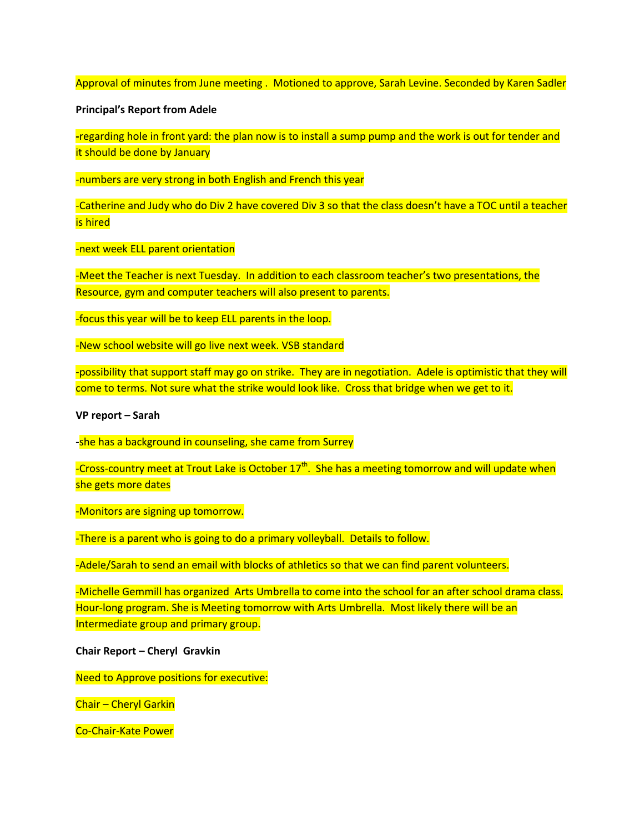Approval of minutes from June meeting . Motioned to approve, Sarah Levine. Seconded by Karen Sadler

#### **Principal's Report from Adele**

**-**regarding hole in front yard: the plan now is to install a sump pump and the work is out for tender and it should be done by January

-numbers are very strong in both English and French this year

-Catherine and Judy who do Div 2 have covered Div 3 so that the class doesn't have a TOC until a teacher is hired

-next week ELL parent orientation

-Meet the Teacher is next Tuesday. In addition to each classroom teacher's two presentations, the Resource, gym and computer teachers will also present to parents.

-focus this year will be to keep ELL parents in the loop.

-New school website will go live next week. VSB standard

-possibility that support staff may go on strike. They are in negotiation. Adele is optimistic that they will come to terms. Not sure what the strike would look like. Cross that bridge when we get to it.

#### **VP report – Sarah**

**-**she has a background in counseling, she came from Surrey

-Cross-country meet at Trout Lake is October 17<sup>th</sup>. She has a meeting tomorrow and will update when she gets more dates

-Monitors are signing up tomorrow.

-There is a parent who is going to do a primary volleyball. Details to follow.

-Adele/Sarah to send an email with blocks of athletics so that we can find parent volunteers.

-Michelle Gemmill has organized Arts Umbrella to come into the school for an after school drama class. Hour-long program. She is Meeting tomorrow with Arts Umbrella. Most likely there will be an Intermediate group and primary group.

**Chair Report – Cheryl Gravkin**

Need to Approve positions for executive:

Chair – Cheryl Garkin

Co-Chair-Kate Power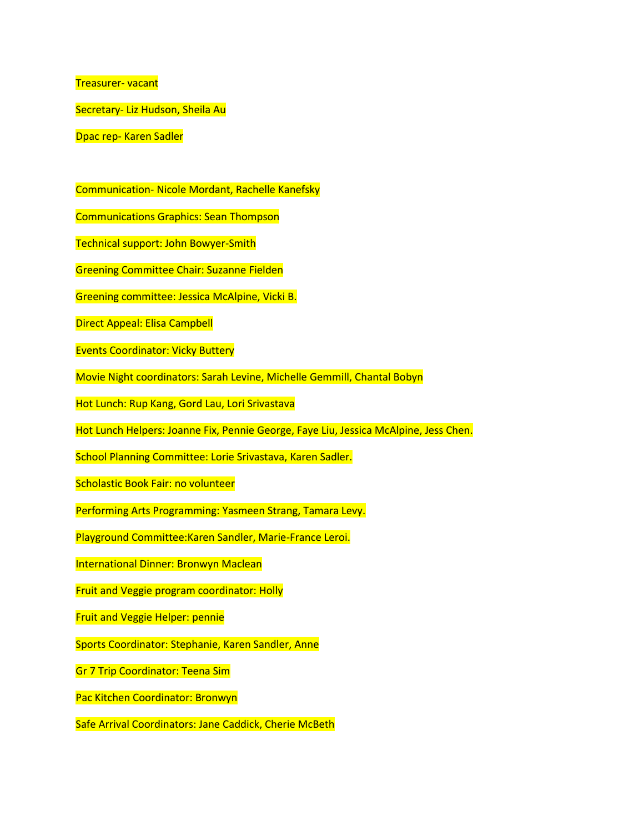Treasurer- vacant

Secretary- Liz Hudson, Sheila Au

Dpac rep- Karen Sadler

Communication- Nicole Mordant, Rachelle Kanefsky

Communications Graphics: Sean Thompson

Technical support: John Bowyer-Smith

Greening Committee Chair: Suzanne Fielden

Greening committee: Jessica McAlpine, Vicki B.

Direct Appeal: Elisa Campbell

Events Coordinator: Vicky Buttery

Movie Night coordinators: Sarah Levine, Michelle Gemmill, Chantal Bobyn

Hot Lunch: Rup Kang, Gord Lau, Lori Srivastava

Hot Lunch Helpers: Joanne Fix, Pennie George, Faye Liu, Jessica McAlpine, Jess Chen.

School Planning Committee: Lorie Srivastava, Karen Sadler.

Scholastic Book Fair: no volunteer

Performing Arts Programming: Yasmeen Strang, Tamara Levy.

Playground Committee:Karen Sandler, Marie-France Leroi.

International Dinner: Bronwyn Maclean

Fruit and Veggie program coordinator: Holly

Fruit and Veggie Helper: pennie

Sports Coordinator: Stephanie, Karen Sandler, Anne

Gr 7 Trip Coordinator: Teena Sim

Pac Kitchen Coordinator: Bronwyn

Safe Arrival Coordinators: Jane Caddick, Cherie McBeth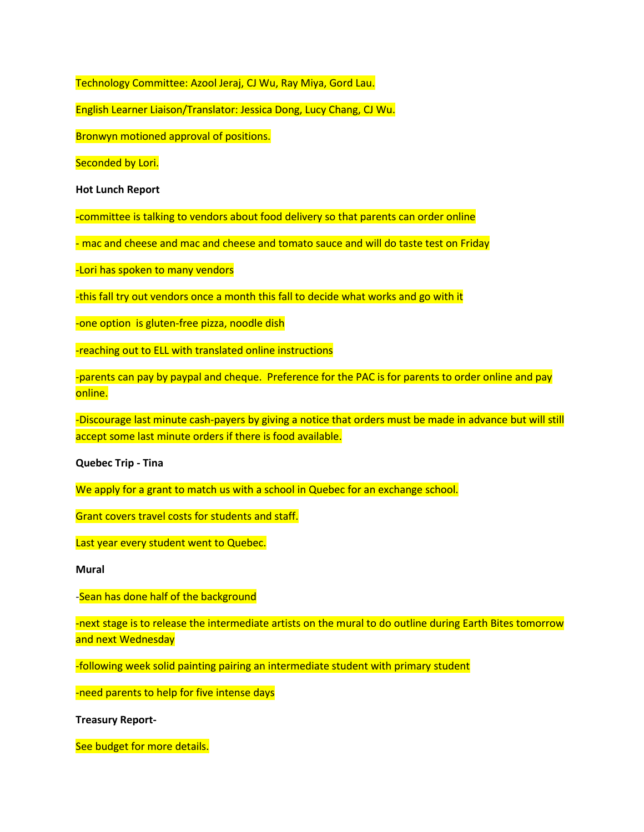Technology Committee: Azool Jeraj, CJ Wu, Ray Miya, Gord Lau.

English Learner Liaison/Translator: Jessica Dong, Lucy Chang, CJ Wu.

Bronwyn motioned approval of positions.

Seconded by Lori.

**Hot Lunch Report**

**-**committee is talking to vendors about food delivery so that parents can order online

- mac and cheese and mac and cheese and tomato sauce and will do taste test on Friday

-Lori has spoken to many vendors

-this fall try out vendors once a month this fall to decide what works and go with it

-one option is gluten-free pizza, noodle dish

-reaching out to ELL with translated online instructions

-parents can pay by paypal and cheque. Preference for the PAC is for parents to order online and pay online.

-Discourage last minute cash-payers by giving a notice that orders must be made in advance but will still accept some last minute orders if there is food available.

**Quebec Trip - Tina**

We apply for a grant to match us with a school in Quebec for an exchange school.

Grant covers travel costs for students and staff.

Last year every student went to Quebec.

**Mural**

-Sean has done half of the background

-next stage is to release the intermediate artists on the mural to do outline during Earth Bites tomorrow and next Wednesday

-following week solid painting pairing an intermediate student with primary student

-need parents to help for five intense days

**Treasury Report-**

See budget for more details.